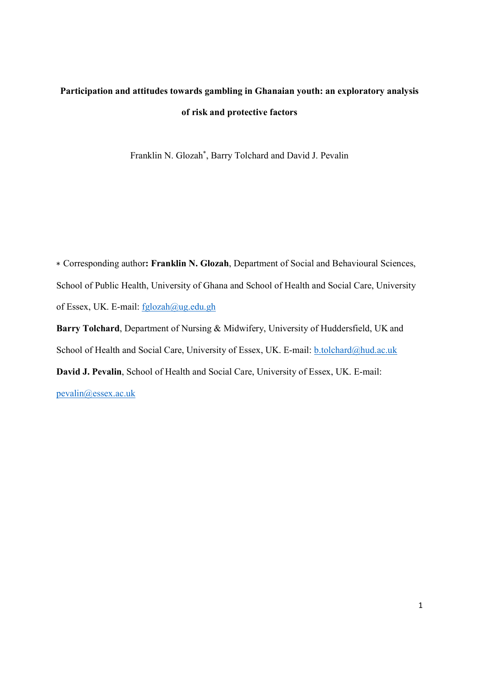# Participation and attitudes towards gambling in Ghanaian youth: an exploratory analysis of risk and protective factors

Franklin N. Glozah\* , Barry Tolchard and David J. Pevalin

∗ Corresponding author: Franklin N. Glozah, Department of Social and Behavioural Sciences, School of Public Health, University of Ghana and School of Health and Social Care, University of Essex, UK. E-mail: fglozah@ug.edu.gh

Barry Tolchard, Department of Nursing & Midwifery, University of Huddersfield, UK and School of Health and Social Care, University of Essex, UK. E-mail: b.tolchard@hud.ac.uk David J. Pevalin, School of Health and Social Care, University of Essex, UK. E-mail:

pevalin@essex.ac.uk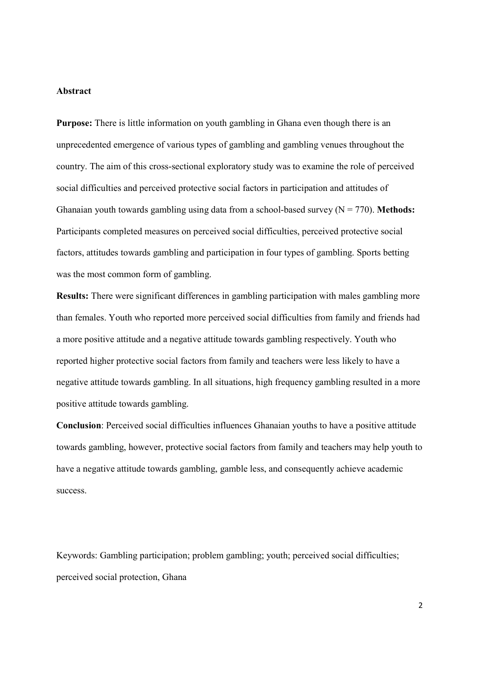# Abstract

Purpose: There is little information on youth gambling in Ghana even though there is an unprecedented emergence of various types of gambling and gambling venues throughout the country. The aim of this cross-sectional exploratory study was to examine the role of perceived social difficulties and perceived protective social factors in participation and attitudes of Ghanaian youth towards gambling using data from a school-based survey  $(N = 770)$ . Methods: Participants completed measures on perceived social difficulties, perceived protective social factors, attitudes towards gambling and participation in four types of gambling. Sports betting was the most common form of gambling.

Results: There were significant differences in gambling participation with males gambling more than females. Youth who reported more perceived social difficulties from family and friends had a more positive attitude and a negative attitude towards gambling respectively. Youth who reported higher protective social factors from family and teachers were less likely to have a negative attitude towards gambling. In all situations, high frequency gambling resulted in a more positive attitude towards gambling.

Conclusion: Perceived social difficulties influences Ghanaian youths to have a positive attitude towards gambling, however, protective social factors from family and teachers may help youth to have a negative attitude towards gambling, gamble less, and consequently achieve academic success.

Keywords: Gambling participation; problem gambling; youth; perceived social difficulties; perceived social protection, Ghana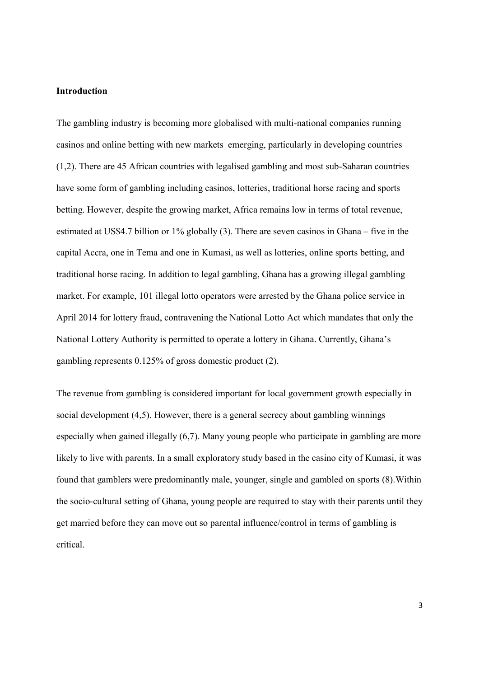# Introduction

The gambling industry is becoming more globalised with multi-national companies running casinos and online betting with new markets emerging, particularly in developing countries (1,2). There are 45 African countries with legalised gambling and most sub-Saharan countries have some form of gambling including casinos, lotteries, traditional horse racing and sports betting. However, despite the growing market, Africa remains low in terms of total revenue, estimated at US\$4.7 billion or 1% globally (3). There are seven casinos in Ghana – five in the capital Accra, one in Tema and one in Kumasi, as well as lotteries, online sports betting, and traditional horse racing. In addition to legal gambling, Ghana has a growing illegal gambling market. For example, 101 illegal lotto operators were arrested by the Ghana police service in April 2014 for lottery fraud, contravening the National Lotto Act which mandates that only the National Lottery Authority is permitted to operate a lottery in Ghana. Currently, Ghana's gambling represents 0.125% of gross domestic product (2).

The revenue from gambling is considered important for local government growth especially in social development (4,5). However, there is a general secrecy about gambling winnings especially when gained illegally (6,7). Many young people who participate in gambling are more likely to live with parents. In a small exploratory study based in the casino city of Kumasi, it was found that gamblers were predominantly male, younger, single and gambled on sports (8).Within the socio-cultural setting of Ghana, young people are required to stay with their parents until they get married before they can move out so parental influence/control in terms of gambling is critical.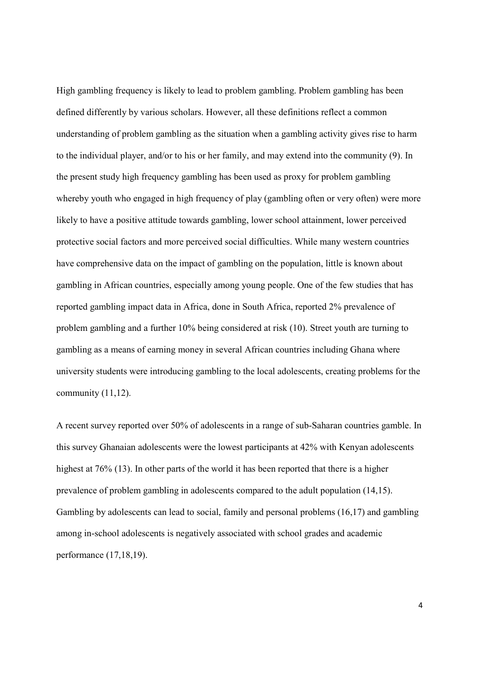High gambling frequency is likely to lead to problem gambling. Problem gambling has been defined differently by various scholars. However, all these definitions reflect a common understanding of problem gambling as the situation when a gambling activity gives rise to harm to the individual player, and/or to his or her family, and may extend into the community (9). In the present study high frequency gambling has been used as proxy for problem gambling whereby youth who engaged in high frequency of play (gambling often or very often) were more likely to have a positive attitude towards gambling, lower school attainment, lower perceived protective social factors and more perceived social difficulties. While many western countries have comprehensive data on the impact of gambling on the population, little is known about gambling in African countries, especially among young people. One of the few studies that has reported gambling impact data in Africa, done in South Africa, reported 2% prevalence of problem gambling and a further 10% being considered at risk (10). Street youth are turning to gambling as a means of earning money in several African countries including Ghana where university students were introducing gambling to the local adolescents, creating problems for the community (11,12).

A recent survey reported over 50% of adolescents in a range of sub-Saharan countries gamble. In this survey Ghanaian adolescents were the lowest participants at 42% with Kenyan adolescents highest at 76% (13). In other parts of the world it has been reported that there is a higher prevalence of problem gambling in adolescents compared to the adult population (14,15). Gambling by adolescents can lead to social, family and personal problems (16,17) and gambling among in-school adolescents is negatively associated with school grades and academic performance (17,18,19).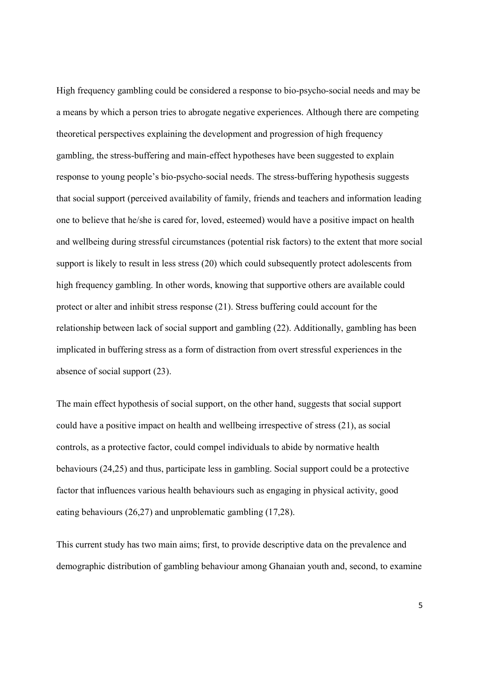High frequency gambling could be considered a response to bio-psycho-social needs and may be a means by which a person tries to abrogate negative experiences. Although there are competing theoretical perspectives explaining the development and progression of high frequency gambling, the stress-buffering and main-effect hypotheses have been suggested to explain response to young people's bio-psycho-social needs. The stress-buffering hypothesis suggests that social support (perceived availability of family, friends and teachers and information leading one to believe that he/she is cared for, loved, esteemed) would have a positive impact on health and wellbeing during stressful circumstances (potential risk factors) to the extent that more social support is likely to result in less stress (20) which could subsequently protect adolescents from high frequency gambling. In other words, knowing that supportive others are available could protect or alter and inhibit stress response (21). Stress buffering could account for the relationship between lack of social support and gambling (22). Additionally, gambling has been implicated in buffering stress as a form of distraction from overt stressful experiences in the absence of social support (23).

The main effect hypothesis of social support, on the other hand, suggests that social support could have a positive impact on health and wellbeing irrespective of stress (21), as social controls, as a protective factor, could compel individuals to abide by normative health behaviours (24,25) and thus, participate less in gambling. Social support could be a protective factor that influences various health behaviours such as engaging in physical activity, good eating behaviours (26,27) and unproblematic gambling (17,28).

This current study has two main aims; first, to provide descriptive data on the prevalence and demographic distribution of gambling behaviour among Ghanaian youth and, second, to examine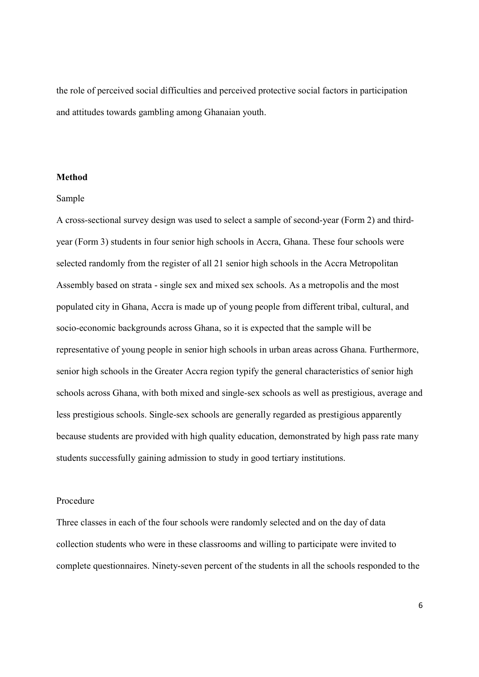the role of perceived social difficulties and perceived protective social factors in participation and attitudes towards gambling among Ghanaian youth.

## Method

### Sample

A cross-sectional survey design was used to select a sample of second-year (Form 2) and thirdyear (Form 3) students in four senior high schools in Accra, Ghana. These four schools were selected randomly from the register of all 21 senior high schools in the Accra Metropolitan Assembly based on strata - single sex and mixed sex schools. As a metropolis and the most populated city in Ghana, Accra is made up of young people from different tribal, cultural, and socio-economic backgrounds across Ghana, so it is expected that the sample will be representative of young people in senior high schools in urban areas across Ghana. Furthermore, senior high schools in the Greater Accra region typify the general characteristics of senior high schools across Ghana, with both mixed and single-sex schools as well as prestigious, average and less prestigious schools. Single-sex schools are generally regarded as prestigious apparently because students are provided with high quality education, demonstrated by high pass rate many students successfully gaining admission to study in good tertiary institutions.

## Procedure

Three classes in each of the four schools were randomly selected and on the day of data collection students who were in these classrooms and willing to participate were invited to complete questionnaires. Ninety-seven percent of the students in all the schools responded to the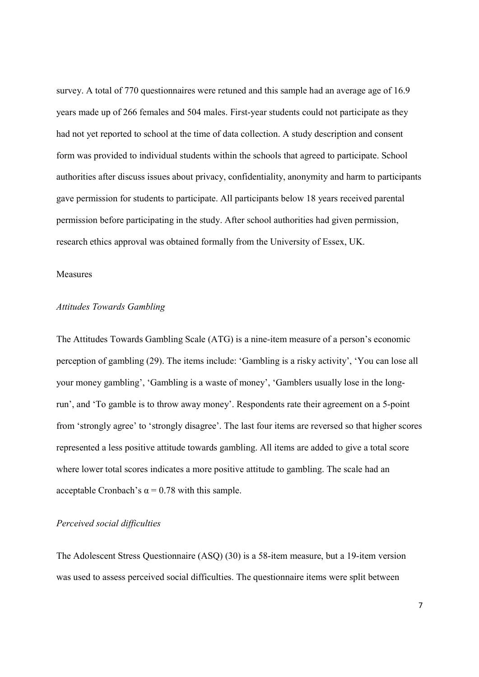survey. A total of 770 questionnaires were retuned and this sample had an average age of 16.9 years made up of 266 females and 504 males. First-year students could not participate as they had not yet reported to school at the time of data collection. A study description and consent form was provided to individual students within the schools that agreed to participate. School authorities after discuss issues about privacy, confidentiality, anonymity and harm to participants gave permission for students to participate. All participants below 18 years received parental permission before participating in the study. After school authorities had given permission, research ethics approval was obtained formally from the University of Essex, UK.

## Measures

### Attitudes Towards Gambling

The Attitudes Towards Gambling Scale (ATG) is a nine-item measure of a person's economic perception of gambling (29). The items include: 'Gambling is a risky activity', 'You can lose all your money gambling', 'Gambling is a waste of money', 'Gamblers usually lose in the longrun', and 'To gamble is to throw away money'. Respondents rate their agreement on a 5-point from 'strongly agree' to 'strongly disagree'. The last four items are reversed so that higher scores represented a less positive attitude towards gambling. All items are added to give a total score where lower total scores indicates a more positive attitude to gambling. The scale had an acceptable Cronbach's  $\alpha$  = 0.78 with this sample.

## Perceived social difficulties

The Adolescent Stress Questionnaire (ASQ) (30) is a 58-item measure, but a 19-item version was used to assess perceived social difficulties. The questionnaire items were split between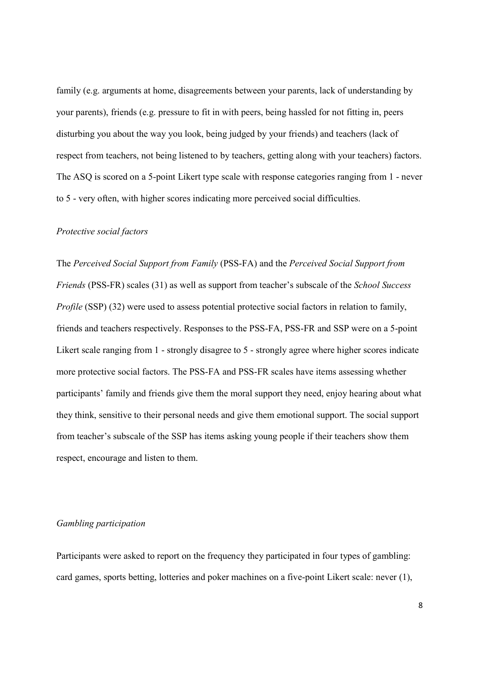family (e.g. arguments at home, disagreements between your parents, lack of understanding by your parents), friends (e.g. pressure to fit in with peers, being hassled for not fitting in, peers disturbing you about the way you look, being judged by your friends) and teachers (lack of respect from teachers, not being listened to by teachers, getting along with your teachers) factors. The ASQ is scored on a 5-point Likert type scale with response categories ranging from 1 - never to 5 - very often, with higher scores indicating more perceived social difficulties.

#### Protective social factors

The Perceived Social Support from Family (PSS-FA) and the Perceived Social Support from Friends (PSS-FR) scales (31) as well as support from teacher's subscale of the School Success Profile (SSP) (32) were used to assess potential protective social factors in relation to family, friends and teachers respectively. Responses to the PSS-FA, PSS-FR and SSP were on a 5-point Likert scale ranging from 1 - strongly disagree to 5 - strongly agree where higher scores indicate more protective social factors. The PSS-FA and PSS-FR scales have items assessing whether participants' family and friends give them the moral support they need, enjoy hearing about what they think, sensitive to their personal needs and give them emotional support. The social support from teacher's subscale of the SSP has items asking young people if their teachers show them respect, encourage and listen to them.

# Gambling participation

Participants were asked to report on the frequency they participated in four types of gambling: card games, sports betting, lotteries and poker machines on a five-point Likert scale: never (1),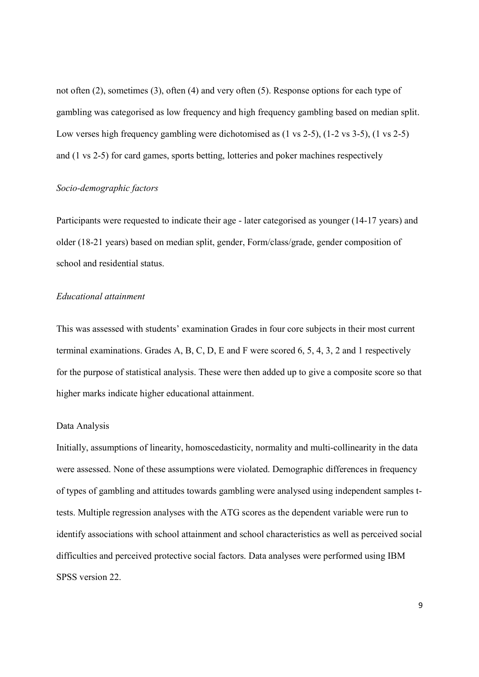not often (2), sometimes (3), often (4) and very often (5). Response options for each type of gambling was categorised as low frequency and high frequency gambling based on median split. Low verses high frequency gambling were dichotomised as (1 vs 2-5), (1-2 vs 3-5), (1 vs 2-5) and (1 vs 2-5) for card games, sports betting, lotteries and poker machines respectively

## Socio-demographic factors

Participants were requested to indicate their age - later categorised as younger (14-17 years) and older (18-21 years) based on median split, gender, Form/class/grade, gender composition of school and residential status.

# Educational attainment

This was assessed with students' examination Grades in four core subjects in their most current terminal examinations. Grades A, B, C, D, E and F were scored 6, 5, 4, 3, 2 and 1 respectively for the purpose of statistical analysis. These were then added up to give a composite score so that higher marks indicate higher educational attainment.

## Data Analysis

Initially, assumptions of linearity, homoscedasticity, normality and multi-collinearity in the data were assessed. None of these assumptions were violated. Demographic differences in frequency of types of gambling and attitudes towards gambling were analysed using independent samples ttests. Multiple regression analyses with the ATG scores as the dependent variable were run to identify associations with school attainment and school characteristics as well as perceived social difficulties and perceived protective social factors. Data analyses were performed using IBM SPSS version 22.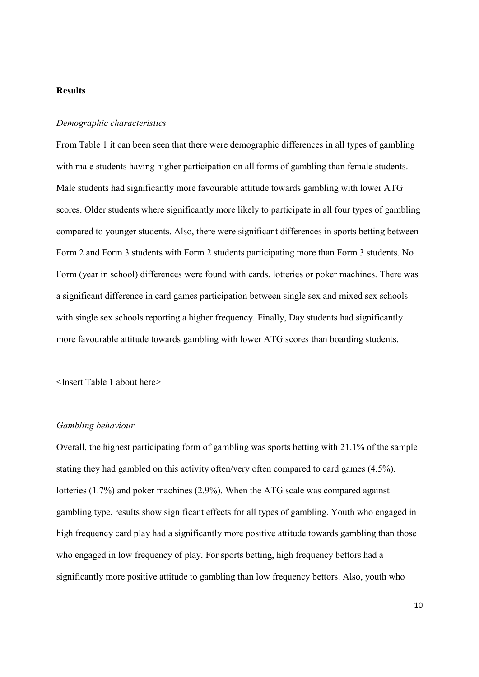# Results

## Demographic characteristics

From Table 1 it can been seen that there were demographic differences in all types of gambling with male students having higher participation on all forms of gambling than female students. Male students had significantly more favourable attitude towards gambling with lower ATG scores. Older students where significantly more likely to participate in all four types of gambling compared to younger students. Also, there were significant differences in sports betting between Form 2 and Form 3 students with Form 2 students participating more than Form 3 students. No Form (year in school) differences were found with cards, lotteries or poker machines. There was a significant difference in card games participation between single sex and mixed sex schools with single sex schools reporting a higher frequency. Finally, Day students had significantly more favourable attitude towards gambling with lower ATG scores than boarding students.

<Insert Table 1 about here>

#### Gambling behaviour

Overall, the highest participating form of gambling was sports betting with 21.1% of the sample stating they had gambled on this activity often/very often compared to card games (4.5%), lotteries (1.7%) and poker machines (2.9%). When the ATG scale was compared against gambling type, results show significant effects for all types of gambling. Youth who engaged in high frequency card play had a significantly more positive attitude towards gambling than those who engaged in low frequency of play. For sports betting, high frequency bettors had a significantly more positive attitude to gambling than low frequency bettors. Also, youth who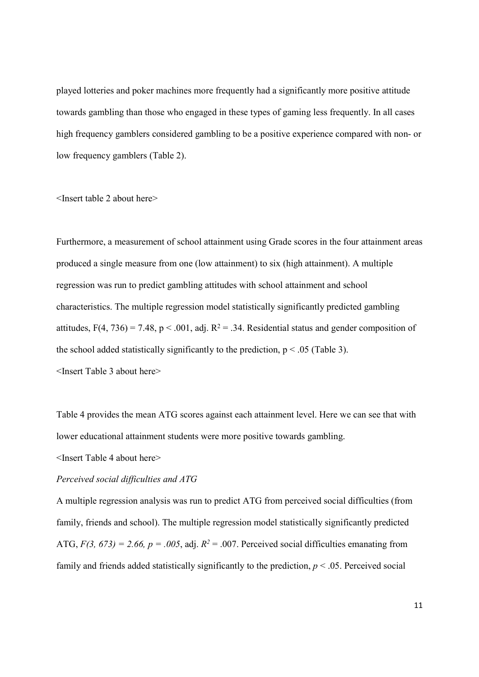played lotteries and poker machines more frequently had a significantly more positive attitude towards gambling than those who engaged in these types of gaming less frequently. In all cases high frequency gamblers considered gambling to be a positive experience compared with non- or low frequency gamblers (Table 2).

<Insert table 2 about here>

Furthermore, a measurement of school attainment using Grade scores in the four attainment areas produced a single measure from one (low attainment) to six (high attainment). A multiple regression was run to predict gambling attitudes with school attainment and school characteristics. The multiple regression model statistically significantly predicted gambling attitudes,  $F(4, 736) = 7.48$ ,  $p < .001$ , adj.  $R^2 = .34$ . Residential status and gender composition of the school added statistically significantly to the prediction,  $p \le 0.05$  (Table 3). <Insert Table 3 about here>

Table 4 provides the mean ATG scores against each attainment level. Here we can see that with lower educational attainment students were more positive towards gambling.

<Insert Table 4 about here>

# Perceived social difficulties and ATG

A multiple regression analysis was run to predict ATG from perceived social difficulties (from family, friends and school). The multiple regression model statistically significantly predicted ATG,  $F(3, 673) = 2.66$ ,  $p = .005$ , adj.  $R<sup>2</sup> = .007$ . Perceived social difficulties emanating from family and friends added statistically significantly to the prediction,  $p < .05$ . Perceived social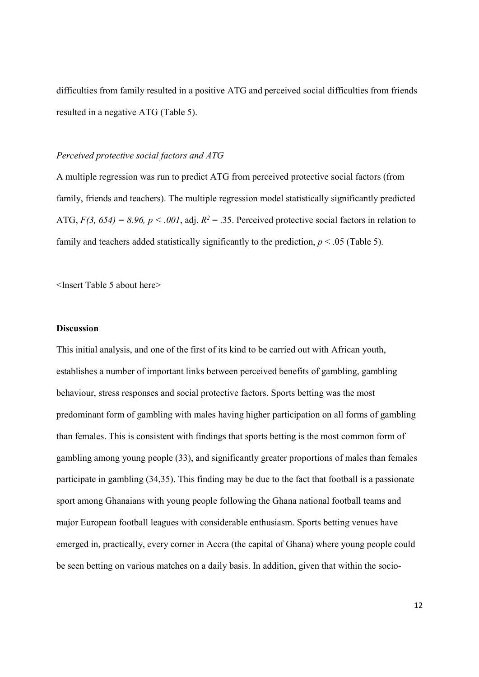difficulties from family resulted in a positive ATG and perceived social difficulties from friends resulted in a negative ATG (Table 5).

## Perceived protective social factors and ATG

A multiple regression was run to predict ATG from perceived protective social factors (from family, friends and teachers). The multiple regression model statistically significantly predicted ATG,  $F(3, 654) = 8.96$ ,  $p < .001$ , adj.  $R^2 = .35$ . Perceived protective social factors in relation to family and teachers added statistically significantly to the prediction,  $p < .05$  (Table 5).

<Insert Table 5 about here>

## Discussion

This initial analysis, and one of the first of its kind to be carried out with African youth, establishes a number of important links between perceived benefits of gambling, gambling behaviour, stress responses and social protective factors. Sports betting was the most predominant form of gambling with males having higher participation on all forms of gambling than females. This is consistent with findings that sports betting is the most common form of gambling among young people (33), and significantly greater proportions of males than females participate in gambling (34,35). This finding may be due to the fact that football is a passionate sport among Ghanaians with young people following the Ghana national football teams and major European football leagues with considerable enthusiasm. Sports betting venues have emerged in, practically, every corner in Accra (the capital of Ghana) where young people could be seen betting on various matches on a daily basis. In addition, given that within the socio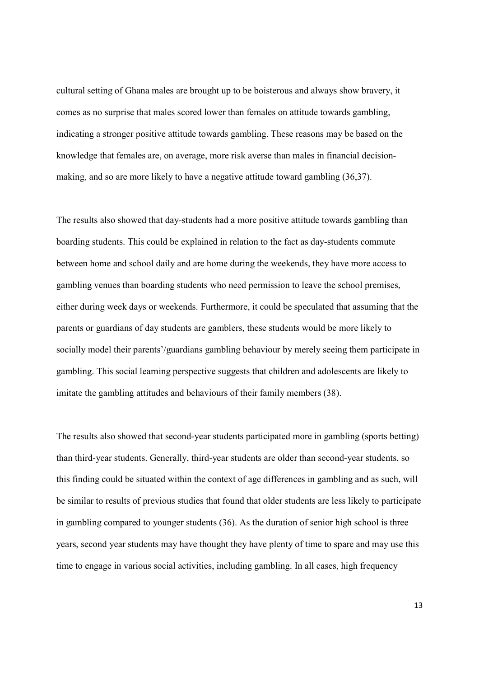cultural setting of Ghana males are brought up to be boisterous and always show bravery, it comes as no surprise that males scored lower than females on attitude towards gambling, indicating a stronger positive attitude towards gambling. These reasons may be based on the knowledge that females are, on average, more risk averse than males in financial decisionmaking, and so are more likely to have a negative attitude toward gambling (36,37).

The results also showed that day-students had a more positive attitude towards gambling than boarding students. This could be explained in relation to the fact as day-students commute between home and school daily and are home during the weekends, they have more access to gambling venues than boarding students who need permission to leave the school premises, either during week days or weekends. Furthermore, it could be speculated that assuming that the parents or guardians of day students are gamblers, these students would be more likely to socially model their parents'/guardians gambling behaviour by merely seeing them participate in gambling. This social learning perspective suggests that children and adolescents are likely to imitate the gambling attitudes and behaviours of their family members (38).

The results also showed that second-year students participated more in gambling (sports betting) than third-year students. Generally, third-year students are older than second-year students, so this finding could be situated within the context of age differences in gambling and as such, will be similar to results of previous studies that found that older students are less likely to participate in gambling compared to younger students (36). As the duration of senior high school is three years, second year students may have thought they have plenty of time to spare and may use this time to engage in various social activities, including gambling. In all cases, high frequency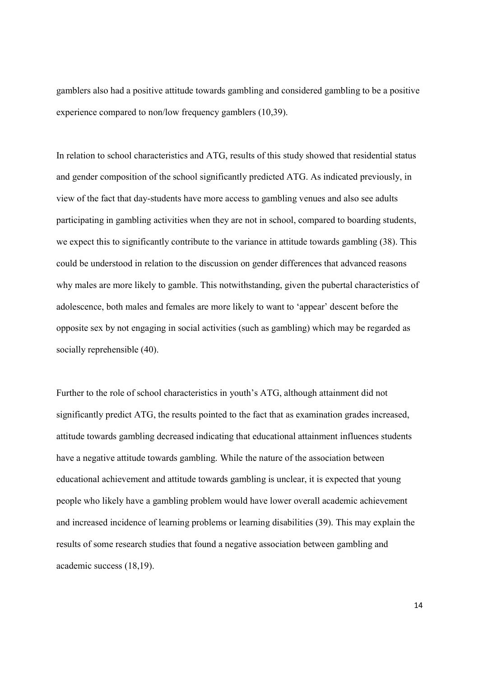gamblers also had a positive attitude towards gambling and considered gambling to be a positive experience compared to non/low frequency gamblers (10,39).

In relation to school characteristics and ATG, results of this study showed that residential status and gender composition of the school significantly predicted ATG. As indicated previously, in view of the fact that day-students have more access to gambling venues and also see adults participating in gambling activities when they are not in school, compared to boarding students, we expect this to significantly contribute to the variance in attitude towards gambling (38). This could be understood in relation to the discussion on gender differences that advanced reasons why males are more likely to gamble. This notwithstanding, given the pubertal characteristics of adolescence, both males and females are more likely to want to 'appear' descent before the opposite sex by not engaging in social activities (such as gambling) which may be regarded as socially reprehensible (40).

Further to the role of school characteristics in youth's ATG, although attainment did not significantly predict ATG, the results pointed to the fact that as examination grades increased, attitude towards gambling decreased indicating that educational attainment influences students have a negative attitude towards gambling. While the nature of the association between educational achievement and attitude towards gambling is unclear, it is expected that young people who likely have a gambling problem would have lower overall academic achievement and increased incidence of learning problems or learning disabilities (39). This may explain the results of some research studies that found a negative association between gambling and academic success (18,19).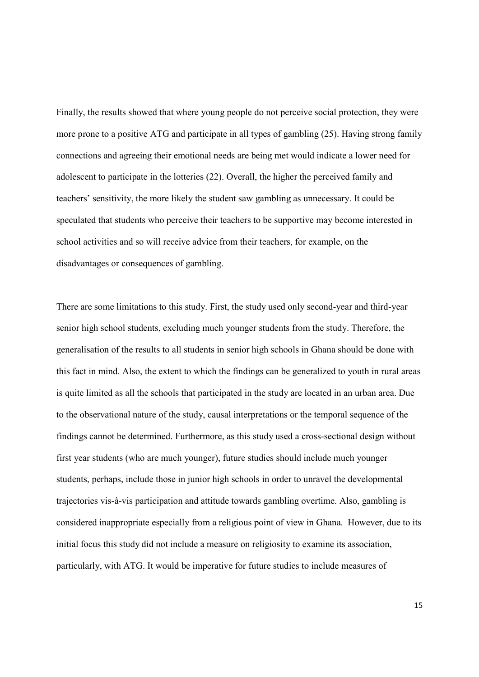Finally, the results showed that where young people do not perceive social protection, they were more prone to a positive ATG and participate in all types of gambling (25). Having strong family connections and agreeing their emotional needs are being met would indicate a lower need for adolescent to participate in the lotteries (22). Overall, the higher the perceived family and teachers' sensitivity, the more likely the student saw gambling as unnecessary. It could be speculated that students who perceive their teachers to be supportive may become interested in school activities and so will receive advice from their teachers, for example, on the disadvantages or consequences of gambling.

There are some limitations to this study. First, the study used only second-year and third-year senior high school students, excluding much younger students from the study. Therefore, the generalisation of the results to all students in senior high schools in Ghana should be done with this fact in mind. Also, the extent to which the findings can be generalized to youth in rural areas is quite limited as all the schools that participated in the study are located in an urban area. Due to the observational nature of the study, causal interpretations or the temporal sequence of the findings cannot be determined. Furthermore, as this study used a cross-sectional design without first year students (who are much younger), future studies should include much younger students, perhaps, include those in junior high schools in order to unravel the developmental trajectories vis-à-vis participation and attitude towards gambling overtime. Also, gambling is considered inappropriate especially from a religious point of view in Ghana. However, due to its initial focus this study did not include a measure on religiosity to examine its association, particularly, with ATG. It would be imperative for future studies to include measures of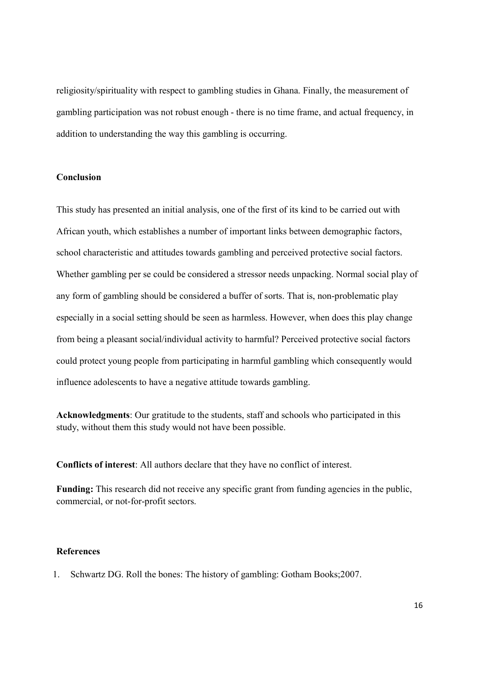religiosity/spirituality with respect to gambling studies in Ghana. Finally, the measurement of gambling participation was not robust enough - there is no time frame, and actual frequency, in addition to understanding the way this gambling is occurring.

# Conclusion

This study has presented an initial analysis, one of the first of its kind to be carried out with African youth, which establishes a number of important links between demographic factors, school characteristic and attitudes towards gambling and perceived protective social factors. Whether gambling per se could be considered a stressor needs unpacking. Normal social play of any form of gambling should be considered a buffer of sorts. That is, non-problematic play especially in a social setting should be seen as harmless. However, when does this play change from being a pleasant social/individual activity to harmful? Perceived protective social factors could protect young people from participating in harmful gambling which consequently would influence adolescents to have a negative attitude towards gambling.

Acknowledgments: Our gratitude to the students, staff and schools who participated in this study, without them this study would not have been possible.

Conflicts of interest: All authors declare that they have no conflict of interest.

Funding: This research did not receive any specific grant from funding agencies in the public, commercial, or not-for-profit sectors.

# References

1. Schwartz DG. Roll the bones: The history of gambling: Gotham Books;2007.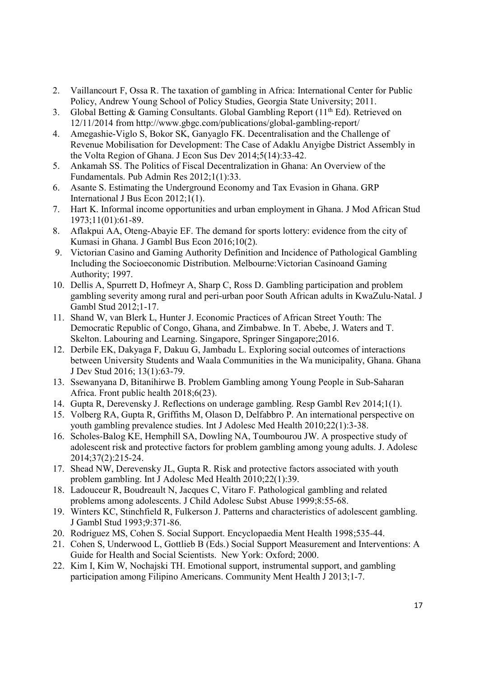- 2. Vaillancourt F, Ossa R. The taxation of gambling in Africa: International Center for Public Policy, Andrew Young School of Policy Studies, Georgia State University; 2011.
- 3. Global Betting & Gaming Consultants. Global Gambling Report (11<sup>th</sup> Ed). Retrieved on 12/11/2014 from http://www.gbgc.com/publications/global-gambling-report/
- 4. Amegashie-Viglo S, Bokor SK, Ganyaglo FK. Decentralisation and the Challenge of Revenue Mobilisation for Development: The Case of Adaklu Anyigbe District Assembly in the Volta Region of Ghana. J Econ Sus Dev 2014;5(14):33-42.
- 5. Ankamah SS. The Politics of Fiscal Decentralization in Ghana: An Overview of the Fundamentals. Pub Admin Res 2012;1(1):33.
- 6. Asante S. Estimating the Underground Economy and Tax Evasion in Ghana. GRP International J Bus Econ 2012;1(1).
- 7. Hart K. Informal income opportunities and urban employment in Ghana. J Mod African Stud 1973;11(01):61-89.
- 8. Aflakpui AA, Oteng-Abayie EF. The demand for sports lottery: evidence from the city of Kumasi in Ghana. J Gambl Bus Econ 2016;10(2).
- 9. Victorian Casino and Gaming Authority Definition and Incidence of Pathological Gambling Including the Socioeconomic Distribution. Melbourne:Victorian Casinoand Gaming Authority; 1997.
- 10. Dellis A, Spurrett D, Hofmeyr A, Sharp C, Ross D. Gambling participation and problem gambling severity among rural and peri-urban poor South African adults in KwaZulu-Natal. J Gambl Stud 2012;1-17.
- 11. Shand W, van Blerk L, Hunter J. Economic Practices of African Street Youth: The Democratic Republic of Congo, Ghana, and Zimbabwe. In T. Abebe, J. Waters and T. Skelton. Labouring and Learning. Singapore, Springer Singapore;2016.
- 12. Derbile EK, Dakyaga F, Dakuu G, Jambadu L. Exploring social outcomes of interactions between University Students and Waala Communities in the Wa municipality, Ghana. Ghana J Dev Stud 2016; 13(1):63-79.
- 13. Ssewanyana D, Bitanihirwe B. Problem Gambling among Young People in Sub-Saharan Africa. Front public health 2018;6(23).
- 14. Gupta R, Derevensky J. Reflections on underage gambling. Resp Gambl Rev 2014;1(1).
- 15. Volberg RA, Gupta R, Griffiths M, Olason D, Delfabbro P. An international perspective on youth gambling prevalence studies. Int J Adolesc Med Health 2010;22(1):3-38.
- 16. Scholes-Balog KE, Hemphill SA, Dowling NA, Toumbourou JW. A prospective study of adolescent risk and protective factors for problem gambling among young adults. J. Adolesc 2014;37(2):215-24.
- 17. Shead NW, Derevensky JL, Gupta R. Risk and protective factors associated with youth problem gambling. Int J Adolesc Med Health 2010;22(1):39.
- 18. Ladouceur R, Boudreault N, Jacques C, Vitaro F. Pathological gambling and related problems among adolescents. J Child Adolesc Subst Abuse 1999;8:55-68.
- 19. Winters KC, Stinchfield R, Fulkerson J. Patterns and characteristics of adolescent gambling. J Gambl Stud 1993;9:371-86.
- 20. Rodriguez MS, Cohen S. Social Support. Encyclopaedia Ment Health 1998;535-44.
- 21. Cohen S, Underwood L, Gottlieb B (Eds.) Social Support Measurement and Interventions: A Guide for Health and Social Scientists. New York: Oxford; 2000.
- 22. Kim I, Kim W, Nochajski TH. Emotional support, instrumental support, and gambling participation among Filipino Americans. Community Ment Health J 2013;1-7.